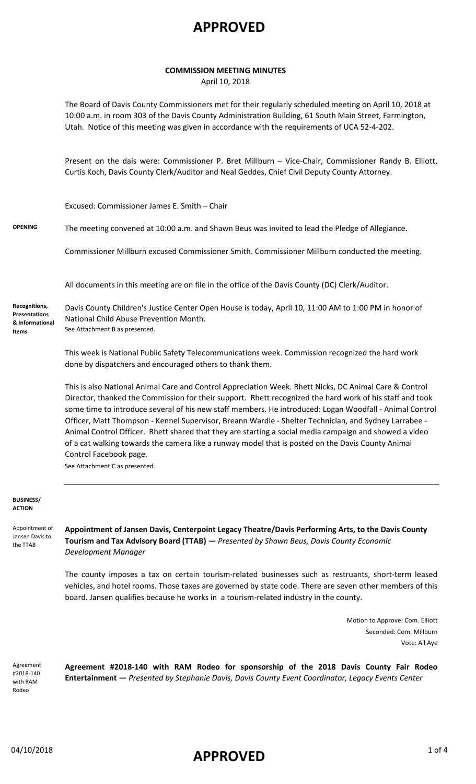#### **COMMISSION MEETING MINUTES**

April 10, 2018

The Board of Davis County Commissioners met for their regularly scheduled meeting on April 10, 2018 at 10:00 a.m. in room 303 of the Davis County Administration Building, 61 South Main Street, Farmington, Utah. Notice of this meeting was given in accordance with the requirements of UCA 52-4-202.

Present on the dais were: Commissioner P. Bret Millburn – Vice-Chair, Commissioner Randy B. Elliott, Curtis Koch, Davis County Clerk/Auditor and Neal Geddes, Chief Civil Deputy County Attorney.

Excused: Commissioner James E. Smith – Chair

**OPENING** The meeting convened at 10:00 a.m. and Shawn Beus was invited to lead the Pledge of Allegiance.

Commissioner Millburn excused Commissioner Smith. Commissioner Millburn conducted the meeting.

All documents in this meeting are on file in the office of the Davis County (DC) Clerk/Auditor.

Davis County Children's Justice Center Open House is today, April 10, 11:00 AM to 1:00 PM in honor of National Child Abuse Prevention Month. See Attachment B as presented. **Recognitions, Presentations & Informational Items**

> This week is National Public Safety Telecommunications week. Commission recognized the hard work done by dispatchers and encouraged others to thank them.

This is also National Animal Care and Control Appreciation Week. Rhett Nicks, DC Animal Care & Control Director, thanked the Commission for their support. Rhett recognized the hard work of his staff and took some time to introduce several of his new staff members. He introduced: Logan Woodfall - Animal Control Officer, Matt Thompson - Kennel Supervisor, Breann Wardle - Shelter Technician, and Sydney Larrabee - Animal Control Officer. Rhett shared that they are starting a social media campaign and showed a video of a cat walking towards the camera like a runway model that is posted on the Davis County Animal Control Facebook page.

See Attachment C as presented.

#### **BUSINESS/ ACTION**

Appointment of Jansen Davis to the TTAB

**Appointment of Jansen Davis, Centerpoint Legacy Theatre/Davis Performing Arts, to the Davis County Tourism and Tax Advisory Board (TTAB) —** *Presented by Shawn Beus, Davis County Economic Development Manager*

The county imposes a tax on certain tourism-related businesses such as restruants, short-term leased vehicles, and hotel rooms. Those taxes are governed by state code. There are seven other members of this board. Jansen qualifies because he works in a tourism-related industry in the county.

> Motion to Approve: Com. Elliott Seconded: Com. Millburn Vote: All Aye

Agreement #2018-140 with RAM Rodeo

**Agreement #2018-140 with RAM Rodeo for sponsorship of the 2018 Davis County Fair Rodeo Entertainment —** *Presented by Stephanie Davis, Davis County Event Coordinator, Legacy Events Center*

## 04/10/2018 **APPROVED** 1 of 4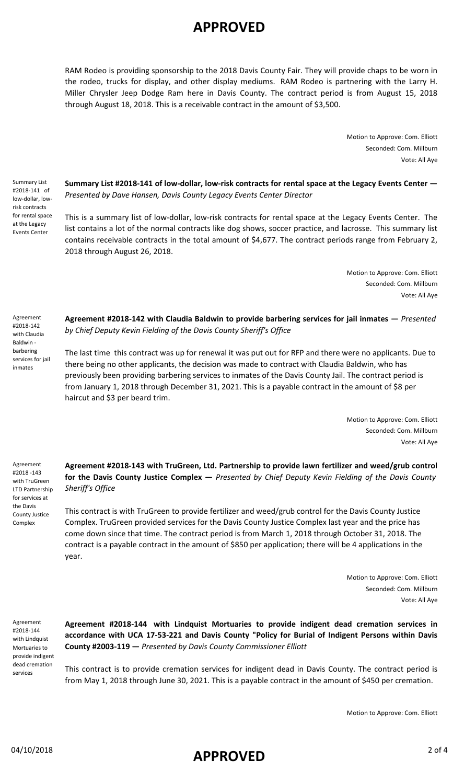RAM Rodeo is providing sponsorship to the 2018 Davis County Fair. They will provide chaps to be worn in the rodeo, trucks for display, and other display mediums. RAM Rodeo is partnering with the Larry H. Miller Chrysler Jeep Dodge Ram here in Davis County. The contract period is from August 15, 2018 through August 18, 2018. This is a receivable contract in the amount of \$3,500.

> Motion to Approve: Com. Elliott Seconded: Com. Millburn Vote: All Aye

Summary List #2018-141 of low-dollar, lowrisk contracts for rental space at the Legacy Events Center

**Summary List #2018-141 of low-dollar, low-risk contracts for rental space at the Legacy Events Center —** *Presented by Dave Hansen, Davis County Legacy Events Center Director*

This is a summary list of low-dollar, low-risk contracts for rental space at the Legacy Events Center. The list contains a lot of the normal contracts like dog shows, soccer practice, and lacrosse. This summary list contains receivable contracts in the total amount of \$4,677. The contract periods range from February 2, 2018 through August 26, 2018.

> Motion to Approve: Com. Elliott Seconded: Com. Millburn Vote: All Aye

Agreement #2018-142 with Claudia Baldwin barbering services for jail inmates

**Agreement #2018-142 with Claudia Baldwin to provide barbering services for jail inmates —** *Presented by Chief Deputy Kevin Fielding of the Davis County Sheriff's Office*

The last time this contract was up for renewal it was put out for RFP and there were no applicants. Due to there being no other applicants, the decision was made to contract with Claudia Baldwin, who has previously been providing barbering services to inmates of the Davis County Jail. The contract period is from January 1, 2018 through December 31, 2021. This is a payable contract in the amount of \$8 per haircut and \$3 per beard trim.

> Motion to Approve: Com. Elliott Seconded: Com. Millburn Vote: All Aye

Agreement #2018 -143 with TruGreen LTD Partnership for services at the Davis County Justice Complex

**Agreement #2018-143 with TruGreen, Ltd. Partnership to provide lawn fertilizer and weed/grub control for the Davis County Justice Complex —** *Presented by Chief Deputy Kevin Fielding of the Davis County Sheriff's Office*

This contract is with TruGreen to provide fertilizer and weed/grub control for the Davis County Justice Complex. TruGreen provided services for the Davis County Justice Complex last year and the price has come down since that time. The contract period is from March 1, 2018 through October 31, 2018. The contract is a payable contract in the amount of \$850 per application; there will be 4 applications in the year.

> Motion to Approve: Com. Elliott Seconded: Com. Millburn Vote: All Aye

Agreement #2018-144 with Lindquist Mortuaries to provide indigent dead cremation services

**Agreement #2018-144 with Lindquist Mortuaries to provide indigent dead cremation services in accordance with UCA 17-53-221 and Davis County "Policy for Burial of Indigent Persons within Davis County #2003-119 —** *Presented by Davis County Commissioner Elliott* 

This contract is to provide cremation services for indigent dead in Davis County. The contract period is from May 1, 2018 through June 30, 2021. This is a payable contract in the amount of \$450 per cremation.

Motion to Approve: Com. Elliott

## 04/10/2018 2 of 4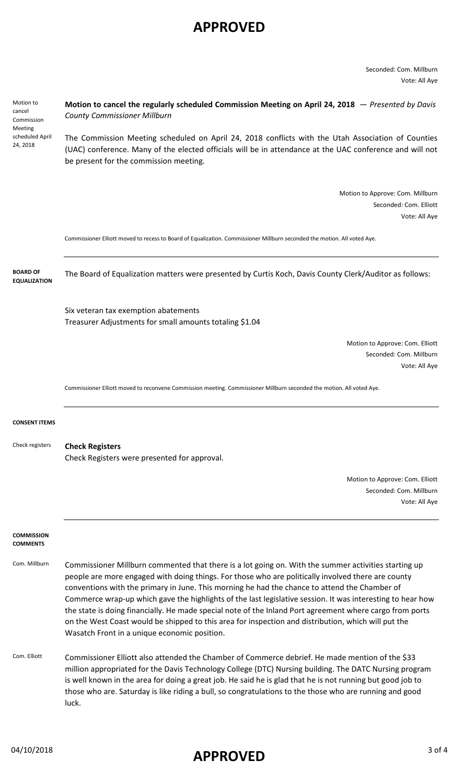Seconded: Com. Millburn Vote: All Aye

| Motion to<br>cancel<br>Commission<br>Meeting<br>scheduled April<br>24, 2018 | Motion to cancel the regularly scheduled Commission Meeting on April 24, 2018 $-$ Presented by Davis<br><b>County Commissioner Millburn</b>                                                                                                                                                                                                                                                                                                                                                                                                                                                                                                                                                  |
|-----------------------------------------------------------------------------|----------------------------------------------------------------------------------------------------------------------------------------------------------------------------------------------------------------------------------------------------------------------------------------------------------------------------------------------------------------------------------------------------------------------------------------------------------------------------------------------------------------------------------------------------------------------------------------------------------------------------------------------------------------------------------------------|
|                                                                             | The Commission Meeting scheduled on April 24, 2018 conflicts with the Utah Association of Counties<br>(UAC) conference. Many of the elected officials will be in attendance at the UAC conference and will not<br>be present for the commission meeting.                                                                                                                                                                                                                                                                                                                                                                                                                                     |
|                                                                             | Motion to Approve: Com. Millburn<br>Seconded: Com. Elliott<br>Vote: All Aye                                                                                                                                                                                                                                                                                                                                                                                                                                                                                                                                                                                                                  |
|                                                                             | Commissioner Elliott moved to recess to Board of Equalization. Commissioner Millburn seconded the motion. All voted Aye.                                                                                                                                                                                                                                                                                                                                                                                                                                                                                                                                                                     |
| <b>BOARD OF</b><br><b>EQUALIZATION</b>                                      | The Board of Equalization matters were presented by Curtis Koch, Davis County Clerk/Auditor as follows:                                                                                                                                                                                                                                                                                                                                                                                                                                                                                                                                                                                      |
|                                                                             | Six veteran tax exemption abatements<br>Treasurer Adjustments for small amounts totaling \$1.04                                                                                                                                                                                                                                                                                                                                                                                                                                                                                                                                                                                              |
|                                                                             | Motion to Approve: Com. Elliott<br>Seconded: Com. Millburn<br>Vote: All Aye                                                                                                                                                                                                                                                                                                                                                                                                                                                                                                                                                                                                                  |
|                                                                             | Commissioner Elliott moved to reconvene Commission meeting. Commissioner Millburn seconded the motion. All voted Aye.                                                                                                                                                                                                                                                                                                                                                                                                                                                                                                                                                                        |
| <b>CONSENT ITEMS</b>                                                        |                                                                                                                                                                                                                                                                                                                                                                                                                                                                                                                                                                                                                                                                                              |
| Check registers                                                             | <b>Check Registers</b><br>Check Registers were presented for approval.                                                                                                                                                                                                                                                                                                                                                                                                                                                                                                                                                                                                                       |
|                                                                             | Motion to Approve: Com. Elliott<br>Seconded: Com. Millburn<br>Vote: All Aye                                                                                                                                                                                                                                                                                                                                                                                                                                                                                                                                                                                                                  |
| <b>COMMISSION</b><br><b>COMMENTS</b>                                        |                                                                                                                                                                                                                                                                                                                                                                                                                                                                                                                                                                                                                                                                                              |
| Com. Millburn                                                               | Commissioner Millburn commented that there is a lot going on. With the summer activities starting up<br>people are more engaged with doing things. For those who are politically involved there are county<br>conventions with the primary in June. This morning he had the chance to attend the Chamber of<br>Commerce wrap-up which gave the highlights of the last legislative session. It was interesting to hear how<br>the state is doing financially. He made special note of the Inland Port agreement where cargo from ports<br>on the West Coast would be shipped to this area for inspection and distribution, which will put the<br>Wasatch Front in a unique economic position. |
| Com. Elliott                                                                | Commissioner Elliott also attended the Chamber of Commerce debrief. He made mention of the \$33<br>million appropriated for the Davis Technology College (DTC) Nursing building. The DATC Nursing program<br>is well known in the area for doing a great job. He said he is glad that he is not running but good job to<br>those who are. Saturday is like riding a bull, so congratulations to the those who are running and good<br>luck.                                                                                                                                                                                                                                                  |

# 04/10/2018 3 of 4